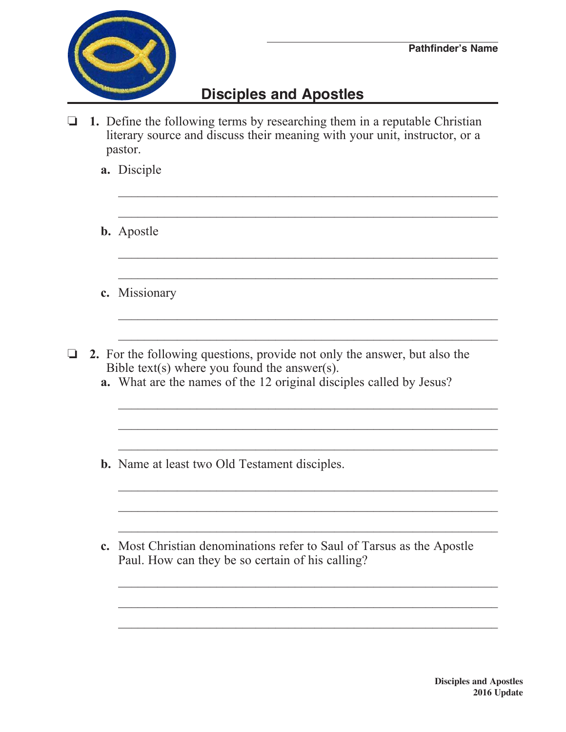

## **Disciples and Apostles**

 $\Box$  1. Define the following terms by researching them in a reputable Christian literary source and discuss their meaning with your unit, instructor, or a pastor.

 $\mathcal{L}_\text{max} = \frac{1}{2} \sum_{i=1}^n \frac{1}{2} \sum_{i=1}^n \frac{1}{2} \sum_{i=1}^n \frac{1}{2} \sum_{i=1}^n \frac{1}{2} \sum_{i=1}^n \frac{1}{2} \sum_{i=1}^n \frac{1}{2} \sum_{i=1}^n \frac{1}{2} \sum_{i=1}^n \frac{1}{2} \sum_{i=1}^n \frac{1}{2} \sum_{i=1}^n \frac{1}{2} \sum_{i=1}^n \frac{1}{2} \sum_{i=1}^n \frac{1}{2} \sum_{i=1}^n$ 

 $\mathcal{L}_\text{max} = \frac{1}{2} \sum_{i=1}^{n} \frac{1}{2} \sum_{i=1}^{n} \frac{1}{2} \sum_{i=1}^{n} \frac{1}{2} \sum_{i=1}^{n} \frac{1}{2} \sum_{i=1}^{n} \frac{1}{2} \sum_{i=1}^{n} \frac{1}{2} \sum_{i=1}^{n} \frac{1}{2} \sum_{i=1}^{n} \frac{1}{2} \sum_{i=1}^{n} \frac{1}{2} \sum_{i=1}^{n} \frac{1}{2} \sum_{i=1}^{n} \frac{1}{2} \sum_{i=1}^{n} \frac{1$ 

 $\mathcal{L}_\text{max} = \frac{1}{2} \sum_{i=1}^{n} \frac{1}{2} \sum_{i=1}^{n} \frac{1}{2} \sum_{i=1}^{n} \frac{1}{2} \sum_{i=1}^{n} \frac{1}{2} \sum_{i=1}^{n} \frac{1}{2} \sum_{i=1}^{n} \frac{1}{2} \sum_{i=1}^{n} \frac{1}{2} \sum_{i=1}^{n} \frac{1}{2} \sum_{i=1}^{n} \frac{1}{2} \sum_{i=1}^{n} \frac{1}{2} \sum_{i=1}^{n} \frac{1}{2} \sum_{i=1}^{n} \frac{1$ 

 $\frac{1}{2}$  ,  $\frac{1}{2}$  ,  $\frac{1}{2}$  ,  $\frac{1}{2}$  ,  $\frac{1}{2}$  ,  $\frac{1}{2}$  ,  $\frac{1}{2}$  ,  $\frac{1}{2}$  ,  $\frac{1}{2}$  ,  $\frac{1}{2}$  ,  $\frac{1}{2}$  ,  $\frac{1}{2}$  ,  $\frac{1}{2}$  ,  $\frac{1}{2}$  ,  $\frac{1}{2}$  ,  $\frac{1}{2}$  ,  $\frac{1}{2}$  ,  $\frac{1}{2}$  ,  $\frac{1$ 

 $\mathcal{L}_\text{max} = \frac{1}{2} \sum_{i=1}^{n} \frac{1}{2} \sum_{i=1}^{n} \frac{1}{2} \sum_{i=1}^{n} \frac{1}{2} \sum_{i=1}^{n} \frac{1}{2} \sum_{i=1}^{n} \frac{1}{2} \sum_{i=1}^{n} \frac{1}{2} \sum_{i=1}^{n} \frac{1}{2} \sum_{i=1}^{n} \frac{1}{2} \sum_{i=1}^{n} \frac{1}{2} \sum_{i=1}^{n} \frac{1}{2} \sum_{i=1}^{n} \frac{1}{2} \sum_{i=1}^{n} \frac{1$ 

 $\mathcal{L}_\text{max} = \frac{1}{2} \sum_{i=1}^{n} \frac{1}{2} \sum_{i=1}^{n} \frac{1}{2} \sum_{i=1}^{n} \frac{1}{2} \sum_{i=1}^{n} \frac{1}{2} \sum_{i=1}^{n} \frac{1}{2} \sum_{i=1}^{n} \frac{1}{2} \sum_{i=1}^{n} \frac{1}{2} \sum_{i=1}^{n} \frac{1}{2} \sum_{i=1}^{n} \frac{1}{2} \sum_{i=1}^{n} \frac{1}{2} \sum_{i=1}^{n} \frac{1}{2} \sum_{i=1}^{n} \frac{1$ 

- **a.** Disciple
- **b.** Apostle
- **c.** Missionary
- **□ 2.** For the following questions, provide not only the answer, but also the Bible text(s) where you found the answer(s).
	- **a.** What are the names of the 12 original disciples called by Jesus?

 $\frac{1}{2}$  ,  $\frac{1}{2}$  ,  $\frac{1}{2}$  ,  $\frac{1}{2}$  ,  $\frac{1}{2}$  ,  $\frac{1}{2}$  ,  $\frac{1}{2}$  ,  $\frac{1}{2}$  ,  $\frac{1}{2}$  ,  $\frac{1}{2}$  ,  $\frac{1}{2}$  ,  $\frac{1}{2}$  ,  $\frac{1}{2}$  ,  $\frac{1}{2}$  ,  $\frac{1}{2}$  ,  $\frac{1}{2}$  ,  $\frac{1}{2}$  ,  $\frac{1}{2}$  ,  $\frac{1$ 

 $\mathcal{L}_\text{max} = \frac{1}{2} \sum_{i=1}^n \frac{1}{2} \sum_{i=1}^n \frac{1}{2} \sum_{i=1}^n \frac{1}{2} \sum_{i=1}^n \frac{1}{2} \sum_{i=1}^n \frac{1}{2} \sum_{i=1}^n \frac{1}{2} \sum_{i=1}^n \frac{1}{2} \sum_{i=1}^n \frac{1}{2} \sum_{i=1}^n \frac{1}{2} \sum_{i=1}^n \frac{1}{2} \sum_{i=1}^n \frac{1}{2} \sum_{i=1}^n \frac{1}{2} \sum_{i=1}^n$ 

 $\mathcal{L}_\text{max} = \frac{1}{2} \sum_{i=1}^{n} \frac{1}{2} \sum_{i=1}^{n} \frac{1}{2} \sum_{i=1}^{n} \frac{1}{2} \sum_{i=1}^{n} \frac{1}{2} \sum_{i=1}^{n} \frac{1}{2} \sum_{i=1}^{n} \frac{1}{2} \sum_{i=1}^{n} \frac{1}{2} \sum_{i=1}^{n} \frac{1}{2} \sum_{i=1}^{n} \frac{1}{2} \sum_{i=1}^{n} \frac{1}{2} \sum_{i=1}^{n} \frac{1}{2} \sum_{i=1}^{n} \frac{1$ 

 $\mathcal{L}_\text{max} = \frac{1}{2} \sum_{i=1}^{n} \frac{1}{2} \sum_{i=1}^{n} \frac{1}{2} \sum_{i=1}^{n} \frac{1}{2} \sum_{i=1}^{n} \frac{1}{2} \sum_{i=1}^{n} \frac{1}{2} \sum_{i=1}^{n} \frac{1}{2} \sum_{i=1}^{n} \frac{1}{2} \sum_{i=1}^{n} \frac{1}{2} \sum_{i=1}^{n} \frac{1}{2} \sum_{i=1}^{n} \frac{1}{2} \sum_{i=1}^{n} \frac{1}{2} \sum_{i=1}^{n} \frac{1$ 

 $\frac{1}{2}$  ,  $\frac{1}{2}$  ,  $\frac{1}{2}$  ,  $\frac{1}{2}$  ,  $\frac{1}{2}$  ,  $\frac{1}{2}$  ,  $\frac{1}{2}$  ,  $\frac{1}{2}$  ,  $\frac{1}{2}$  ,  $\frac{1}{2}$  ,  $\frac{1}{2}$  ,  $\frac{1}{2}$  ,  $\frac{1}{2}$  ,  $\frac{1}{2}$  ,  $\frac{1}{2}$  ,  $\frac{1}{2}$  ,  $\frac{1}{2}$  ,  $\frac{1}{2}$  ,  $\frac{1$ 

 $\mathcal{L}_\text{max} = \frac{1}{2} \sum_{i=1}^n \frac{1}{2} \sum_{i=1}^n \frac{1}{2} \sum_{i=1}^n \frac{1}{2} \sum_{i=1}^n \frac{1}{2} \sum_{i=1}^n \frac{1}{2} \sum_{i=1}^n \frac{1}{2} \sum_{i=1}^n \frac{1}{2} \sum_{i=1}^n \frac{1}{2} \sum_{i=1}^n \frac{1}{2} \sum_{i=1}^n \frac{1}{2} \sum_{i=1}^n \frac{1}{2} \sum_{i=1}^n \frac{1}{2} \sum_{i=1}^n$ 

- **b.** Name at least two Old Testament disciples.
- **c.** Most Christian denominations refer to Saul of Tarsus as the Apostle Paul. How can they be so certain of his calling?

 $\mathcal{L}_\text{max} = \frac{1}{2} \sum_{i=1}^{n} \frac{1}{2} \sum_{i=1}^{n} \frac{1}{2} \sum_{i=1}^{n} \frac{1}{2} \sum_{i=1}^{n} \frac{1}{2} \sum_{i=1}^{n} \frac{1}{2} \sum_{i=1}^{n} \frac{1}{2} \sum_{i=1}^{n} \frac{1}{2} \sum_{i=1}^{n} \frac{1}{2} \sum_{i=1}^{n} \frac{1}{2} \sum_{i=1}^{n} \frac{1}{2} \sum_{i=1}^{n} \frac{1}{2} \sum_{i=1}^{n} \frac{1$ 

 $\mathcal{L}_\text{max} = \frac{1}{2} \sum_{i=1}^{n} \frac{1}{2} \sum_{i=1}^{n} \frac{1}{2} \sum_{i=1}^{n} \frac{1}{2} \sum_{i=1}^{n} \frac{1}{2} \sum_{i=1}^{n} \frac{1}{2} \sum_{i=1}^{n} \frac{1}{2} \sum_{i=1}^{n} \frac{1}{2} \sum_{i=1}^{n} \frac{1}{2} \sum_{i=1}^{n} \frac{1}{2} \sum_{i=1}^{n} \frac{1}{2} \sum_{i=1}^{n} \frac{1}{2} \sum_{i=1}^{n} \frac{1$ 

 $\frac{1}{2}$  ,  $\frac{1}{2}$  ,  $\frac{1}{2}$  ,  $\frac{1}{2}$  ,  $\frac{1}{2}$  ,  $\frac{1}{2}$  ,  $\frac{1}{2}$  ,  $\frac{1}{2}$  ,  $\frac{1}{2}$  ,  $\frac{1}{2}$  ,  $\frac{1}{2}$  ,  $\frac{1}{2}$  ,  $\frac{1}{2}$  ,  $\frac{1}{2}$  ,  $\frac{1}{2}$  ,  $\frac{1}{2}$  ,  $\frac{1}{2}$  ,  $\frac{1}{2}$  ,  $\frac{1$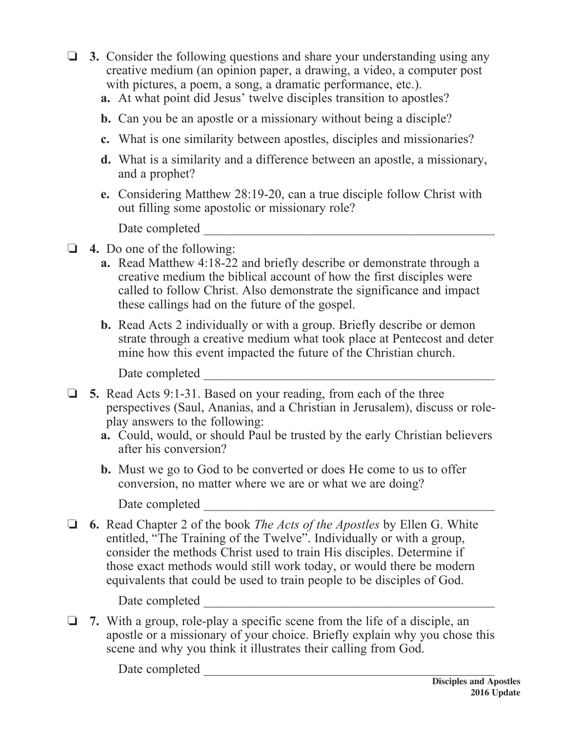- $\Box$  3. Consider the following questions and share your understanding using any creative medium (an opinion paper, a drawing, a video, a computer post with pictures, a poem, a song, a dramatic performance, etc.).
	- **a.** At what point did Jesus' twelve disciples transition to apostles?
	- **b.** Can you be an apostle or a missionary without being a disciple?
	- **c.** What is one similarity between apostles, disciples and missionaries?
	- **d.** What is a similarity and a difference between an apostle, a missionary, and a prophet?
	- **e.** Considering Matthew 28:19-20, can a true disciple follow Christ with out filling some apostolic or missionary role?

Date completed

- **4.** Do one of the following:
	- **a.** Read Matthew 4:18-22 and briefly describe or demonstrate through a creative medium the biblical account of how the first disciples were called to follow Christ. Also demonstrate the significance and impact these callings had on the future of the gospel.
	- **b.** Read Acts 2 individually or with a group. Briefly describe or demon strate through a creative medium what took place at Pentecost and deter mine how this event impacted the future of the Christian church.

Date completed  $\Box$ 

- o **5.** Read Acts 9:1-31. Based on your reading, from each of the three perspectives (Saul, Ananias, and a Christian in Jerusalem), discuss or role play answers to the following:
	- **a.** Could, would, or should Paul be trusted by the early Christian believers after his conversion?
	- **b.** Must we go to God to be converted or does He come to us to offer conversion, no matter where we are or what we are doing?

Date completed  $\Box$ 

o **6.** Read Chapter 2 of the book *The Acts of the Apostles* by Ellen G. White entitled, "The Training of the Twelve". Individually or with a group, consider the methods Christ used to train His disciples. Determine if those exact methods would still work today, or would there be modern equivalents that could be used to train people to be disciples of God.

Date completed \_\_\_\_\_\_\_\_\_\_\_\_\_\_\_\_\_\_\_\_\_\_\_\_\_\_\_\_\_\_\_\_\_\_\_\_\_\_\_\_\_\_\_\_\_

 $\Box$  7. With a group, role-play a specific scene from the life of a disciple, an apostle or a missionary of your choice. Briefly explain why you chose this scene and why you think it illustrates their calling from God.

Date completed  $\Box$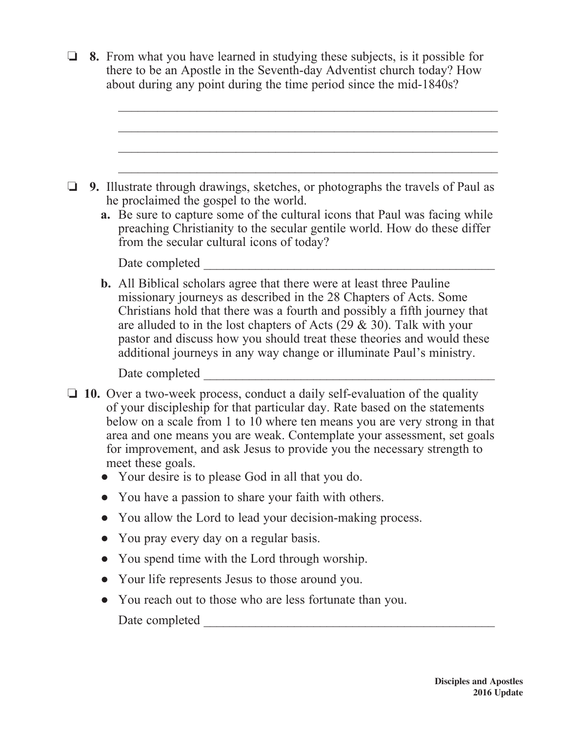$\Box$  **8.** From what you have learned in studying these subjects, is it possible for there to be an Apostle in the Seventh-day Adventist church today? How about during any point during the time period since the mid-1840s?

 $\mathcal{L}_\text{max} = \frac{1}{2} \sum_{i=1}^{n} \frac{1}{2} \sum_{i=1}^{n} \frac{1}{2} \sum_{i=1}^{n} \frac{1}{2} \sum_{i=1}^{n} \frac{1}{2} \sum_{i=1}^{n} \frac{1}{2} \sum_{i=1}^{n} \frac{1}{2} \sum_{i=1}^{n} \frac{1}{2} \sum_{i=1}^{n} \frac{1}{2} \sum_{i=1}^{n} \frac{1}{2} \sum_{i=1}^{n} \frac{1}{2} \sum_{i=1}^{n} \frac{1}{2} \sum_{i=1}^{n} \frac{1$ 

 $\frac{1}{2}$  ,  $\frac{1}{2}$  ,  $\frac{1}{2}$  ,  $\frac{1}{2}$  ,  $\frac{1}{2}$  ,  $\frac{1}{2}$  ,  $\frac{1}{2}$  ,  $\frac{1}{2}$  ,  $\frac{1}{2}$  ,  $\frac{1}{2}$  ,  $\frac{1}{2}$  ,  $\frac{1}{2}$  ,  $\frac{1}{2}$  ,  $\frac{1}{2}$  ,  $\frac{1}{2}$  ,  $\frac{1}{2}$  ,  $\frac{1}{2}$  ,  $\frac{1}{2}$  ,  $\frac{1$ 

 $\mathcal{L}_\text{max} = \frac{1}{2} \sum_{i=1}^{n} \frac{1}{2} \sum_{i=1}^{n} \frac{1}{2} \sum_{i=1}^{n} \frac{1}{2} \sum_{i=1}^{n} \frac{1}{2} \sum_{i=1}^{n} \frac{1}{2} \sum_{i=1}^{n} \frac{1}{2} \sum_{i=1}^{n} \frac{1}{2} \sum_{i=1}^{n} \frac{1}{2} \sum_{i=1}^{n} \frac{1}{2} \sum_{i=1}^{n} \frac{1}{2} \sum_{i=1}^{n} \frac{1}{2} \sum_{i=1}^{n} \frac{1$ 

 $\mathcal{L}_\text{max} = \frac{1}{2} \sum_{i=1}^{n} \frac{1}{2} \sum_{i=1}^{n} \frac{1}{2} \sum_{i=1}^{n} \frac{1}{2} \sum_{i=1}^{n} \frac{1}{2} \sum_{i=1}^{n} \frac{1}{2} \sum_{i=1}^{n} \frac{1}{2} \sum_{i=1}^{n} \frac{1}{2} \sum_{i=1}^{n} \frac{1}{2} \sum_{i=1}^{n} \frac{1}{2} \sum_{i=1}^{n} \frac{1}{2} \sum_{i=1}^{n} \frac{1}{2} \sum_{i=1}^{n} \frac{1$ 

- **1** 9. Illustrate through drawings, sketches, or photographs the travels of Paul as he proclaimed the gospel to the world.
	- **a.** Be sure to capture some of the cultural icons that Paul was facing while preaching Christianity to the secular gentile world. How do these differ from the secular cultural icons of today?

Date completed

 **b.** All Biblical scholars agree that there were at least three Pauline missionary journeys as described in the 28 Chapters of Acts. Some Christians hold that there was a fourth and possibly a fifth journey that are alluded to in the lost chapters of Acts  $(29 \& 30)$ . Talk with your pastor and discuss how you should treat these theories and would these additional journeys in any way change or illuminate Paul's ministry.

Date completed  $\Box$ 

- $\Box$  10. Over a two-week process, conduct a daily self-evaluation of the quality of your discipleship for that particular day. Rate based on the statements below on a scale from 1 to 10 where ten means you are very strong in that area and one means you are weak. Contemplate your assessment, set goals for improvement, and ask Jesus to provide you the necessary strength to meet these goals.
	- Your desire is to please God in all that you do.
	- You have a passion to share your faith with others.
	- You allow the Lord to lead your decision-making process.
	- You pray every day on a regular basis.
	- You spend time with the Lord through worship.
	- Your life represents Jesus to those around you.
	- ● You reach out to those who are less fortunate than you. Date completed \_\_\_\_\_\_\_\_\_\_\_\_\_\_\_\_\_\_\_\_\_\_\_\_\_\_\_\_\_\_\_\_\_\_\_\_\_\_\_\_\_\_\_\_\_